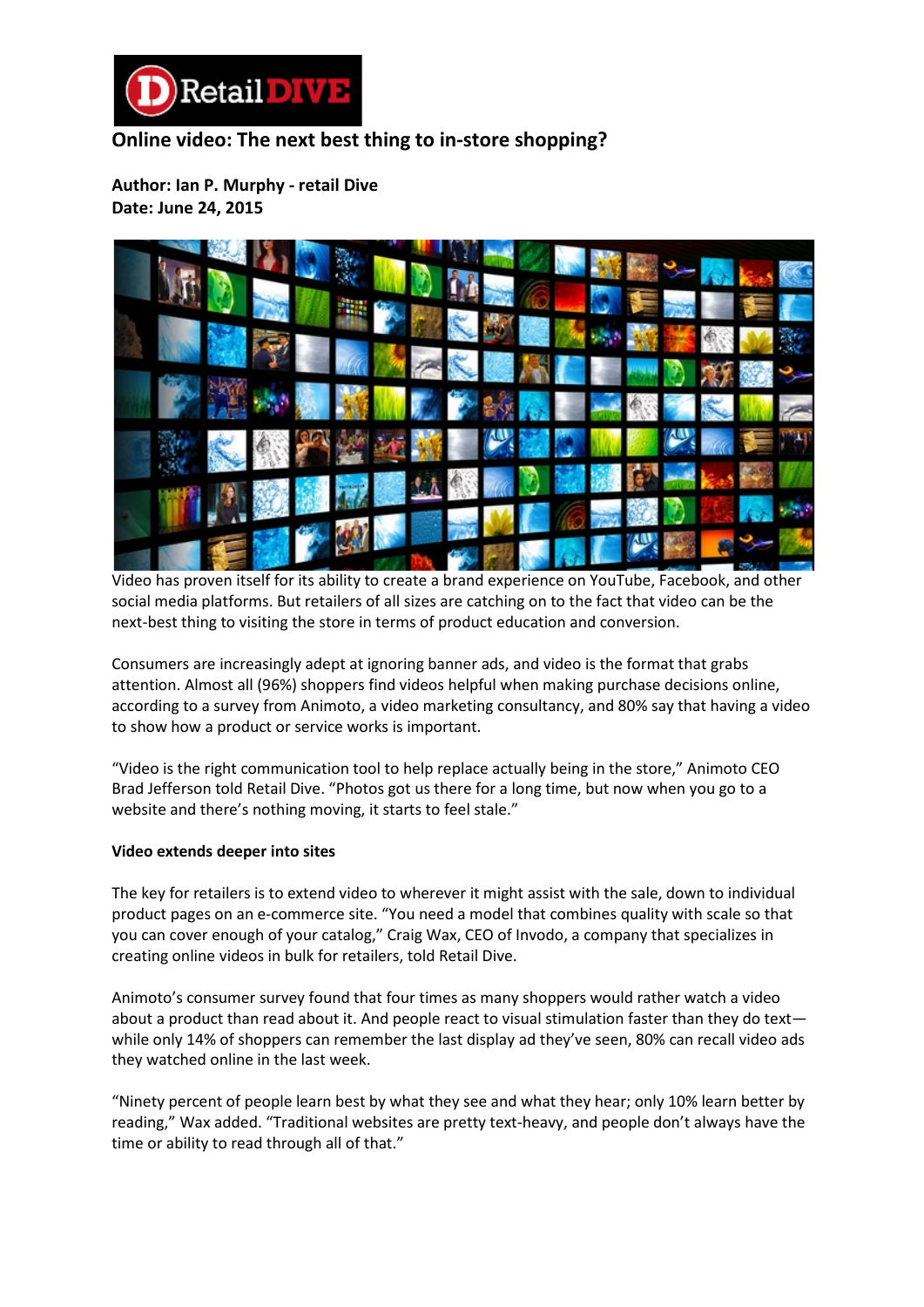

## **Online video: The next best thing to in-store shopping?**

**Author: Ian P. Murphy - retail Dive Date: June 24, 2015**



Video has proven itself for its ability to create a brand experience on YouTube, Facebook, and other social media platforms. But retailers of all sizes are catching on to the fact that video can be the next-best thing to visiting the store in terms of product education and conversion.

Consumers are increasingly adept at ignoring banner ads, and video is the format that grabs attention. Almost all (96%) shoppers find videos helpful when making purchase decisions online, according to a survey from Animoto, a video marketing consultancy, and 80% say that having a video to show how a product or service works is important.

"Video is the right communication tool to help replace actually being in the store," Animoto CEO Brad Jefferson told Retail Dive. "Photos got us there for a long time, but now when you go to a website and there's nothing moving, it starts to feel stale."

## **Video extends deeper into sites**

The key for retailers is to extend video to wherever it might assist with the sale, down to individual product pages on an e-commerce site. "You need a model that combines quality with scale so that you can cover enough of your catalog," Craig Wax, CEO of Invodo, a company that specializes in creating online videos in bulk for retailers, told Retail Dive.

Animoto's consumer survey found that four times as many shoppers would rather watch a video about a product than read about it. And people react to visual stimulation faster than they do text while only 14% of shoppers can remember the last display ad they've seen, 80% can recall video ads they watched online in the last week.

"Ninety percent of people learn best by what they see and what they hear; only 10% learn better by reading," Wax added. "Traditional websites are pretty text-heavy, and people don't always have the time or ability to read through all of that."